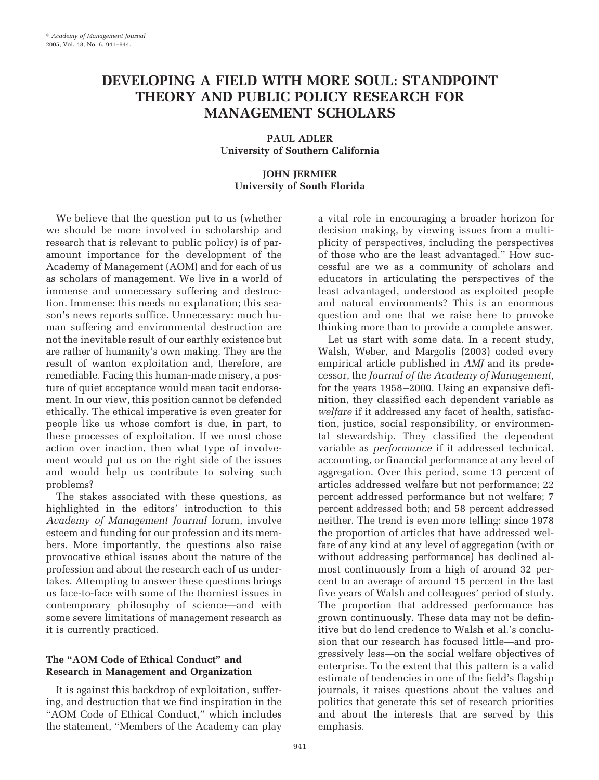# **DEVELOPING A FIELD WITH MORE SOUL: STANDPOINT THEORY AND PUBLIC POLICY RESEARCH FOR MANAGEMENT SCHOLARS**

**PAUL ADLER University of Southern California**

### **JOHN JERMIER University of South Florida**

We believe that the question put to us (whether we should be more involved in scholarship and research that is relevant to public policy) is of paramount importance for the development of the Academy of Management (AOM) and for each of us as scholars of management. We live in a world of immense and unnecessary suffering and destruction. Immense: this needs no explanation; this season's news reports suffice. Unnecessary: much human suffering and environmental destruction are not the inevitable result of our earthly existence but are rather of humanity's own making. They are the result of wanton exploitation and, therefore, are remediable. Facing this human-made misery, a posture of quiet acceptance would mean tacit endorsement. In our view, this position cannot be defended ethically. The ethical imperative is even greater for people like us whose comfort is due, in part, to these processes of exploitation. If we must chose action over inaction, then what type of involvement would put us on the right side of the issues and would help us contribute to solving such problems?

The stakes associated with these questions, as highlighted in the editors' introduction to this *Academy of Management Journal* forum, involve esteem and funding for our profession and its members. More importantly, the questions also raise provocative ethical issues about the nature of the profession and about the research each of us undertakes. Attempting to answer these questions brings us face-to-face with some of the thorniest issues in contemporary philosophy of science—and with some severe limitations of management research as it is currently practiced.

## **The "AOM Code of Ethical Conduct" and Research in Management and Organization**

It is against this backdrop of exploitation, suffering, and destruction that we find inspiration in the "AOM Code of Ethical Conduct," which includes the statement, "Members of the Academy can play

a vital role in encouraging a broader horizon for decision making, by viewing issues from a multiplicity of perspectives, including the perspectives of those who are the least advantaged." How successful are we as a community of scholars and educators in articulating the perspectives of the least advantaged, understood as exploited people and natural environments? This is an enormous question and one that we raise here to provoke thinking more than to provide a complete answer.

Let us start with some data. In a recent study, Walsh, Weber, and Margolis (2003) coded every empirical article published in *AMJ* and its predecessor, the *Journal of the Academy of Management,* for the years 1958 –2000. Using an expansive definition, they classified each dependent variable as *welfare* if it addressed any facet of health, satisfaction, justice, social responsibility, or environmental stewardship. They classified the dependent variable as *performance* if it addressed technical, accounting, or financial performance at any level of aggregation. Over this period, some 13 percent of articles addressed welfare but not performance; 22 percent addressed performance but not welfare; 7 percent addressed both; and 58 percent addressed neither. The trend is even more telling: since 1978 the proportion of articles that have addressed welfare of any kind at any level of aggregation (with or without addressing performance) has declined almost continuously from a high of around 32 percent to an average of around 15 percent in the last five years of Walsh and colleagues' period of study. The proportion that addressed performance has grown continuously. These data may not be definitive but do lend credence to Walsh et al.'s conclusion that our research has focused little—and progressively less—on the social welfare objectives of enterprise. To the extent that this pattern is a valid estimate of tendencies in one of the field's flagship journals, it raises questions about the values and politics that generate this set of research priorities and about the interests that are served by this emphasis.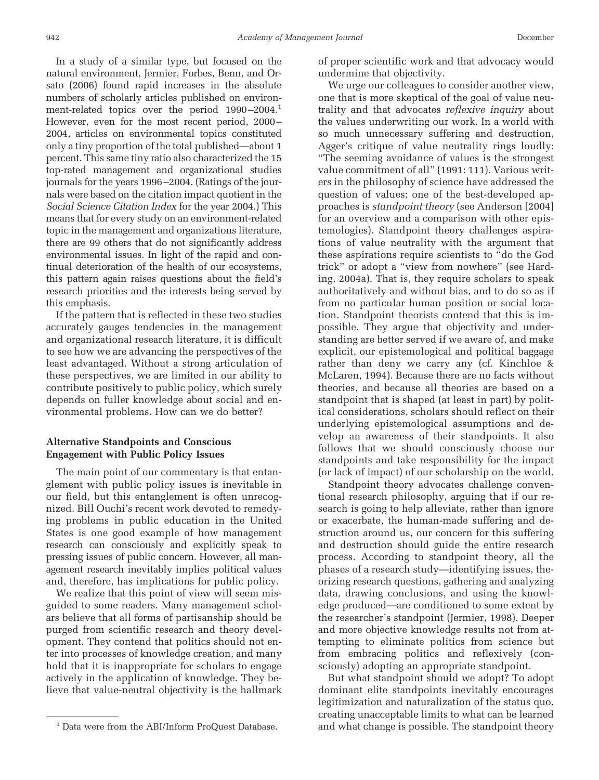In a study of a similar type, but focused on the natural environment, Jermier, Forbes, Benn, and Orsato (2006) found rapid increases in the absolute numbers of scholarly articles published on environment-related topics over the period 1990–2004.<sup>1</sup> However, even for the most recent period, 2000– 2004, articles on environmental topics constituted only a tiny proportion of the total published—about 1 percent. This same tiny ratio also characterized the 15 top-rated management and organizational studies journals for the years 1996–2004. (Ratings of the journals were based on the citation impact quotient in the *Social Science Citation Index* for the year 2004.) This means that for every study on an environment-related topic in the management and organizations literature, there are 99 others that do not significantly address environmental issues. In light of the rapid and continual deterioration of the health of our ecosystems, this pattern again raises questions about the field's research priorities and the interests being served by this emphasis.

If the pattern that is reflected in these two studies accurately gauges tendencies in the management and organizational research literature, it is difficult to see how we are advancing the perspectives of the least advantaged. Without a strong articulation of these perspectives, we are limited in our ability to contribute positively to public policy, which surely depends on fuller knowledge about social and environmental problems. How can we do better?

#### **Alternative Standpoints and Conscious Engagement with Public Policy Issues**

The main point of our commentary is that entanglement with public policy issues is inevitable in our field, but this entanglement is often unrecognized. Bill Ouchi's recent work devoted to remedying problems in public education in the United States is one good example of how management research can consciously and explicitly speak to pressing issues of public concern. However, all management research inevitably implies political values and, therefore, has implications for public policy.

We realize that this point of view will seem misguided to some readers. Many management scholars believe that all forms of partisanship should be purged from scientific research and theory development. They contend that politics should not enter into processes of knowledge creation, and many hold that it is inappropriate for scholars to engage actively in the application of knowledge. They believe that value-neutral objectivity is the hallmark of proper scientific work and that advocacy would undermine that objectivity.

We urge our colleagues to consider another view, one that is more skeptical of the goal of value neutrality and that advocates *reflexive inquiry* about the values underwriting our work. In a world with so much unnecessary suffering and destruction, Agger's critique of value neutrality rings loudly: "The seeming avoidance of values is the strongest value commitment of all" (1991: 111). Various writers in the philosophy of science have addressed the question of values; one of the best-developed approaches is *standpoint theory* (see Anderson [2004] for an overview and a comparison with other epistemologies). Standpoint theory challenges aspirations of value neutrality with the argument that these aspirations require scientists to "do the God trick" or adopt a "view from nowhere" (see Harding, 2004a). That is, they require scholars to speak authoritatively and without bias, and to do so as if from no particular human position or social location. Standpoint theorists contend that this is impossible. They argue that objectivity and understanding are better served if we aware of, and make explicit, our epistemological and political baggage rather than deny we carry any (cf. Kinchloe & McLaren, 1994). Because there are no facts without theories, and because all theories are based on a standpoint that is shaped (at least in part) by political considerations, scholars should reflect on their underlying epistemological assumptions and develop an awareness of their standpoints. It also follows that we should consciously choose our standpoints and take responsibility for the impact (or lack of impact) of our scholarship on the world.

Standpoint theory advocates challenge conventional research philosophy, arguing that if our research is going to help alleviate, rather than ignore or exacerbate, the human-made suffering and destruction around us, our concern for this suffering and destruction should guide the entire research process. According to standpoint theory, all the phases of a research study—identifying issues, theorizing research questions, gathering and analyzing data, drawing conclusions, and using the knowledge produced—are conditioned to some extent by the researcher's standpoint (Jermier, 1998). Deeper and more objective knowledge results not from attempting to eliminate politics from science but from embracing politics and reflexively (consciously) adopting an appropriate standpoint.

But what standpoint should we adopt? To adopt dominant elite standpoints inevitably encourages legitimization and naturalization of the status quo, creating unacceptable limits to what can be learned <sup>1</sup> Data were from the ABI/Inform ProQuest Database. and what change is possible. The standpoint theory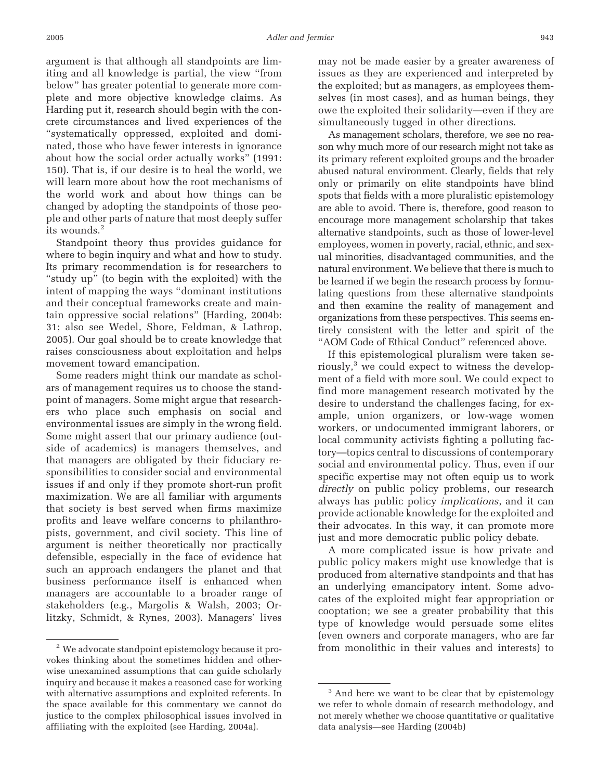argument is that although all standpoints are limiting and all knowledge is partial, the view "from below" has greater potential to generate more complete and more objective knowledge claims. As Harding put it, research should begin with the concrete circumstances and lived experiences of the "systematically oppressed, exploited and dominated, those who have fewer interests in ignorance about how the social order actually works" (1991: 150). That is, if our desire is to heal the world, we will learn more about how the root mechanisms of the world work and about how things can be changed by adopting the standpoints of those people and other parts of nature that most deeply suffer its wounds.<sup>2</sup>

Standpoint theory thus provides guidance for where to begin inquiry and what and how to study. Its primary recommendation is for researchers to "study up" (to begin with the exploited) with the intent of mapping the ways "dominant institutions and their conceptual frameworks create and maintain oppressive social relations" (Harding, 2004b: 31; also see Wedel, Shore, Feldman, & Lathrop, 2005). Our goal should be to create knowledge that raises consciousness about exploitation and helps movement toward emancipation.

Some readers might think our mandate as scholars of management requires us to choose the standpoint of managers. Some might argue that researchers who place such emphasis on social and environmental issues are simply in the wrong field. Some might assert that our primary audience (outside of academics) is managers themselves, and that managers are obligated by their fiduciary responsibilities to consider social and environmental issues if and only if they promote short-run profit maximization. We are all familiar with arguments that society is best served when firms maximize profits and leave welfare concerns to philanthropists, government, and civil society. This line of argument is neither theoretically nor practically defensible, especially in the face of evidence hat such an approach endangers the planet and that business performance itself is enhanced when managers are accountable to a broader range of stakeholders (e.g., Margolis & Walsh, 2003; Orlitzky, Schmidt, & Rynes, 2003). Managers' lives

may not be made easier by a greater awareness of issues as they are experienced and interpreted by the exploited; but as managers, as employees themselves (in most cases), and as human beings, they owe the exploited their solidarity—even if they are simultaneously tugged in other directions.

As management scholars, therefore, we see no reason why much more of our research might not take as its primary referent exploited groups and the broader abused natural environment. Clearly, fields that rely only or primarily on elite standpoints have blind spots that fields with a more pluralistic epistemology are able to avoid. There is, therefore, good reason to encourage more management scholarship that takes alternative standpoints, such as those of lower-level employees, women in poverty, racial, ethnic, and sexual minorities, disadvantaged communities, and the natural environment. We believe that there is much to be learned if we begin the research process by formulating questions from these alternative standpoints and then examine the reality of management and organizations from these perspectives. This seems entirely consistent with the letter and spirit of the "AOM Code of Ethical Conduct" referenced above.

If this epistemological pluralism were taken seriously,3 we could expect to witness the development of a field with more soul. We could expect to find more management research motivated by the desire to understand the challenges facing, for example, union organizers, or low-wage women workers, or undocumented immigrant laborers, or local community activists fighting a polluting factory—topics central to discussions of contemporary social and environmental policy. Thus, even if our specific expertise may not often equip us to work *directly* on public policy problems, our research always has public policy *implications*, and it can provide actionable knowledge for the exploited and their advocates. In this way, it can promote more just and more democratic public policy debate.

A more complicated issue is how private and public policy makers might use knowledge that is produced from alternative standpoints and that has an underlying emancipatory intent. Some advocates of the exploited might fear appropriation or cooptation; we see a greater probability that this type of knowledge would persuade some elites (even owners and corporate managers, who are far <sup>2</sup> We advocate standpoint epistemology because it pro-<br>
from monolithic in their values and interests) to

vokes thinking about the sometimes hidden and otherwise unexamined assumptions that can guide scholarly inquiry and because it makes a reasoned case for working with alternative assumptions and exploited referents. In the space available for this commentary we cannot do justice to the complex philosophical issues involved in affiliating with the exploited (see Harding, 2004a).

<sup>&</sup>lt;sup>3</sup> And here we want to be clear that by epistemology we refer to whole domain of research methodology, and not merely whether we choose quantitative or qualitative data analysis—see Harding (2004b)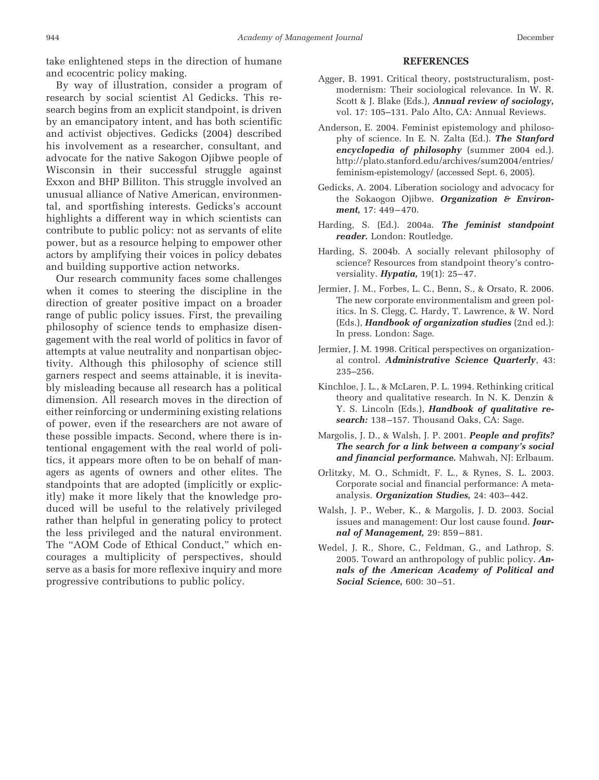take enlightened steps in the direction of humane and ecocentric policy making.

By way of illustration, consider a program of research by social scientist Al Gedicks. This research begins from an explicit standpoint, is driven by an emancipatory intent, and has both scientific and activist objectives. Gedicks (2004) described his involvement as a researcher, consultant, and advocate for the native Sakogon Ojibwe people of Wisconsin in their successful struggle against Exxon and BHP Billiton. This struggle involved an unusual alliance of Native American, environmental, and sportfishing interests. Gedicks's account highlights a different way in which scientists can contribute to public policy: not as servants of elite power, but as a resource helping to empower other actors by amplifying their voices in policy debates and building supportive action networks.

Our research community faces some challenges when it comes to steering the discipline in the direction of greater positive impact on a broader range of public policy issues. First, the prevailing philosophy of science tends to emphasize disengagement with the real world of politics in favor of attempts at value neutrality and nonpartisan objectivity. Although this philosophy of science still garners respect and seems attainable, it is inevitably misleading because all research has a political dimension. All research moves in the direction of either reinforcing or undermining existing relations of power, even if the researchers are not aware of these possible impacts. Second, where there is intentional engagement with the real world of politics, it appears more often to be on behalf of managers as agents of owners and other elites. The standpoints that are adopted (implicitly or explicitly) make it more likely that the knowledge produced will be useful to the relatively privileged rather than helpful in generating policy to protect the less privileged and the natural environment. The "AOM Code of Ethical Conduct," which encourages a multiplicity of perspectives, should serve as a basis for more reflexive inquiry and more progressive contributions to public policy.

#### **REFERENCES**

- Agger, B. 1991. Critical theory, poststructuralism, postmodernism: Their sociological relevance. In W. R. Scott & J. Blake (Eds.), *Annual review of sociology,* vol. 17: 105–131. Palo Alto, CA: Annual Reviews.
- Anderson, E. 2004. Feminist epistemology and philosophy of science. In E. N. Zalta (Ed.). *The Stanford encyclopedia of philosophy* (summer 2004 ed.). http://plato.stanford.edu/archives/sum2004/entries/ feminism-epistemology/ (accessed Sept. 6, 2005).
- Gedicks, A. 2004. Liberation sociology and advocacy for the Sokaogon Ojibwe. *Organization & Environment,* 17: 449 – 470.
- Harding, S. (Ed.). 2004a. *The feminist standpoint reader.* London: Routledge.
- Harding, S. 2004b. A socially relevant philosophy of science? Resources from standpoint theory's controversiality. **Hypatia**, 19(1): 25-47.
- Jermier, J. M., Forbes, L. C., Benn, S., & Orsato, R. 2006. The new corporate environmentalism and green politics. In S. Clegg, C. Hardy, T. Lawrence, & W. Nord (Eds.), *Handbook of organization studies* (2nd ed.): In press. London: Sage.
- Jermier, J. M. 1998. Critical perspectives on organizational control. *Administrative Science Quarterly*, 43: 235–256.
- Kinchloe, J. L., & McLaren, P. L. 1994. Rethinking critical theory and qualitative research. In N. K. Denzin & Y. S. Lincoln (Eds.), *Handbook of qualitative research:* 138 –157. Thousand Oaks, CA: Sage.
- Margolis, J. D., & Walsh, J. P. 2001. *People and profits? The search for a link between a company's social and financial performance.* Mahwah, NJ: Erlbaum.
- Orlitzky, M. O., Schmidt, F. L., & Rynes, S. L. 2003. Corporate social and financial performance: A metaanalysis. *Organization Studies,* 24: 403– 442.
- Walsh, J. P., Weber, K., & Margolis, J. D. 2003. Social issues and management: Our lost cause found. *Journal of Management,* 29: 859 – 881.
- Wedel, J. R., Shore, C., Feldman, G., and Lathrop, S. 2005. Toward an anthropology of public policy. *Annals of the American Academy of Political and* **Social Science**, 600: 30-51.